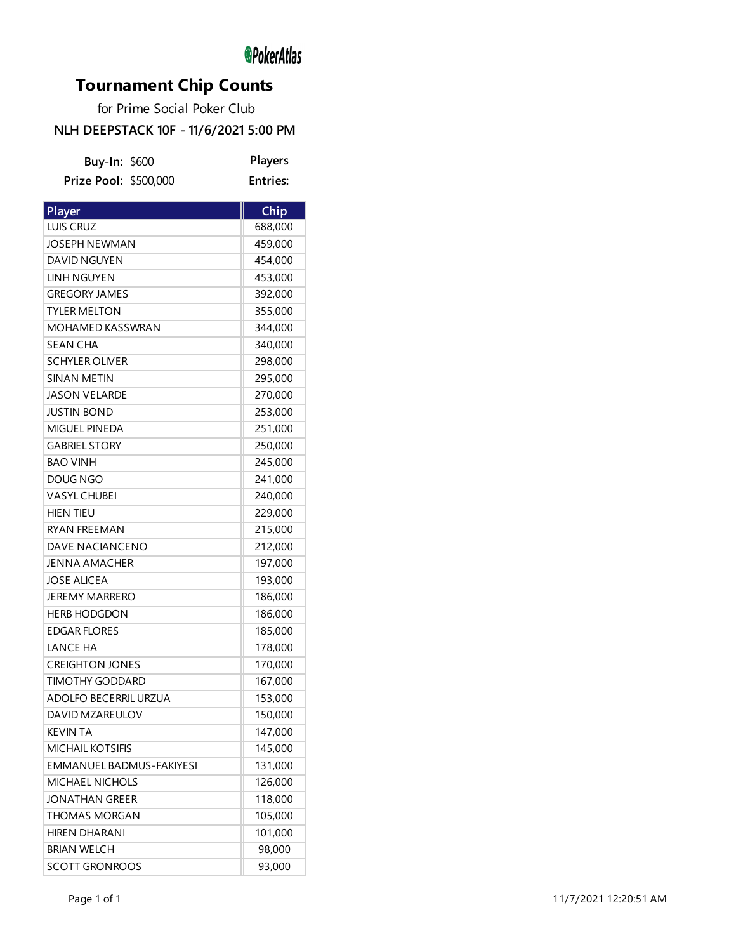# *<u></u>*PokerAtlas

# **Tournament Chip Counts**

for Prime Social Poker Club

### **NLH DEEPSTACK 10F - 11/6/2021 5:00 PM**

| Buy-In: \$600                | Players         |
|------------------------------|-----------------|
| Prize Pool: \$500,000        | <b>Entries:</b> |
|                              |                 |
| Player                       | Chip            |
| LUIS CRUZ                    | 688,000         |
| <b>JOSEPH NEWMAN</b>         | 459,000         |
| DAVID NGUYEN                 | 454,000         |
| <b>LINH NGUYEN</b>           | 453,000         |
| <b>GREGORY JAMES</b>         | 392,000         |
| <b>TYLER MELTON</b>          | 355,000         |
| <b>MOHAMED KASSWRAN</b>      | 344,000         |
| <b>SEAN CHA</b>              | 340,000         |
| <b>SCHYLER OLIVER</b>        | 298,000         |
| <b>SINAN METIN</b>           | 295,000         |
| <b>JASON VELARDE</b>         | 270,000         |
| <b>JUSTIN BOND</b>           | 253,000         |
| MIGUEL PINEDA                | 251,000         |
| <b>GABRIEL STORY</b>         | 250,000         |
| <b>BAO VINH</b>              | 245,000         |
| DOUG NGO                     | 241,000         |
| <b>VASYL CHUBEI</b>          | 240,000         |
| <b>HIEN TIEU</b>             | 229,000         |
| <b>RYAN FREEMAN</b>          | 215,000         |
| <b>DAVE NACIANCENO</b>       | 212,000         |
| <b>JENNA AMACHER</b>         | 197,000         |
| <b>JOSE ALICEA</b>           | 193,000         |
| <b>JEREMY MARRERO</b>        | 186,000         |
| <b>HERB HODGDON</b>          | 186,000         |
| <b>EDGAR FLORES</b>          | 185,000         |
| <b>LANCE HA</b>              | 178,000         |
| <b>CREIGHTON JONES</b>       | 170,000         |
| <b>TIMOTHY GODDARD</b>       | 167,000         |
| <b>ADOLFO BECERRIL URZUA</b> | 153,000         |
| DAVID MZAREULOV              | 150,000         |
| <b>KEVIN TA</b>              | 147,000         |
| <b>MICHAIL KOTSIFIS</b>      | 145,000         |
| EMMANUEL BADMUS-FAKIYESI     | 131,000         |
| MICHAEL NICHOLS              | 126,000         |
| <b>JONATHAN GREER</b>        | 118,000         |
| THOMAS MORGAN                | 105,000         |
| <b>HIREN DHARANI</b>         | 101,000         |
| <b>BRIAN WELCH</b>           | 98,000          |
| <b>SCOTT GRONROOS</b>        | 93,000          |